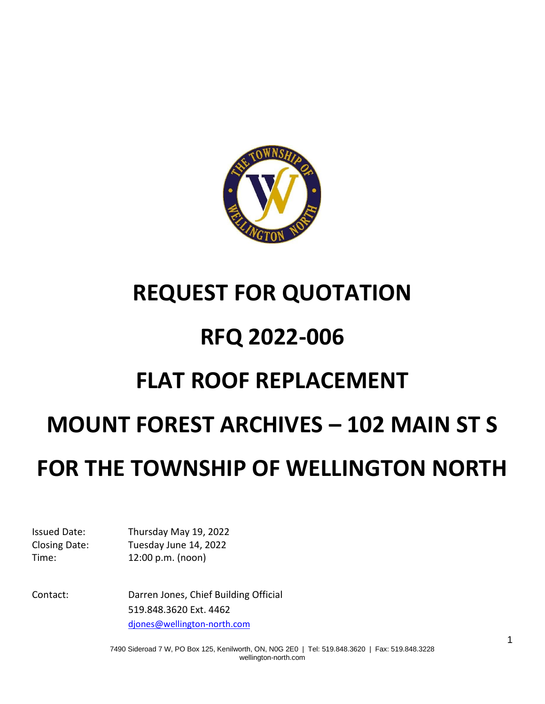

# **REQUEST FOR QUOTATION RFQ 2022-006 FLAT ROOF REPLACEMENT MOUNT FOREST ARCHIVES – 102 MAIN ST S**

# **FOR THE TOWNSHIP OF WELLINGTON NORTH**

Issued Date: Thursday May 19, 2022 Closing Date: Tuesday June 14, 2022 Time: 12:00 p.m. (noon)

Contact: Darren Jones, Chief Building Official 519.848.3620 Ext. 4462 [djones@wellington-north.com](mailto:djones@wellington-north.com)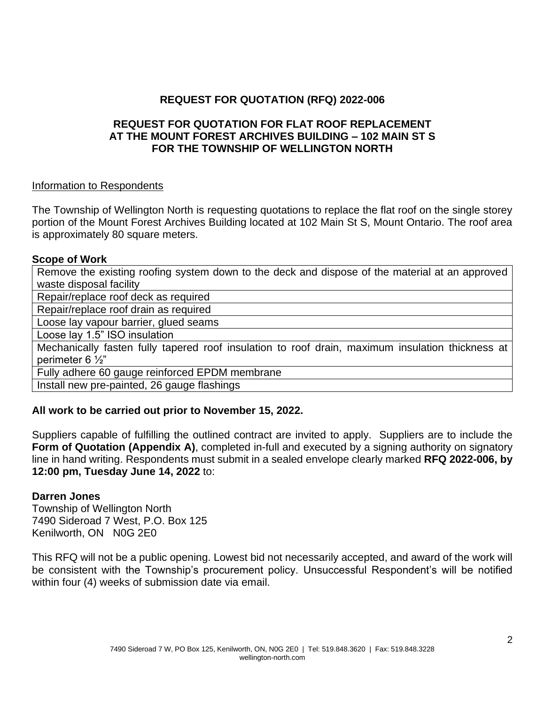#### **REQUEST FOR QUOTATION (RFQ) 2022-006**

#### **REQUEST FOR QUOTATION FOR FLAT ROOF REPLACEMENT AT THE MOUNT FOREST ARCHIVES BUILDING – 102 MAIN ST S FOR THE TOWNSHIP OF WELLINGTON NORTH**

#### Information to Respondents

The Township of Wellington North is requesting quotations to replace the flat roof on the single storey portion of the Mount Forest Archives Building located at 102 Main St S, Mount Ontario. The roof area is approximately 80 square meters.

#### **Scope of Work**

Remove the existing roofing system down to the deck and dispose of the material at an approved waste disposal facility

Repair/replace roof deck as required

Repair/replace roof drain as required

Loose lay vapour barrier, glued seams

Loose lay 1.5" ISO insulation

Mechanically fasten fully tapered roof insulation to roof drain, maximum insulation thickness at perimeter 6 ½"

Fully adhere 60 gauge reinforced EPDM membrane

Install new pre-painted, 26 gauge flashings

#### **All work to be carried out prior to November 15, 2022.**

Suppliers capable of fulfilling the outlined contract are invited to apply. Suppliers are to include the **Form of Quotation (Appendix A), completed in-full and executed by a signing authority on signatory** line in hand writing. Respondents must submit in a sealed envelope clearly marked **RFQ 2022-006, by 12:00 pm, Tuesday June 14, 2022** to:

#### **Darren Jones**

Township of Wellington North 7490 Sideroad 7 West, P.O. Box 125 Kenilworth, ON N0G 2E0

This RFQ will not be a public opening. Lowest bid not necessarily accepted, and award of the work will be consistent with the Township's procurement policy. Unsuccessful Respondent's will be notified within four (4) weeks of submission date via email.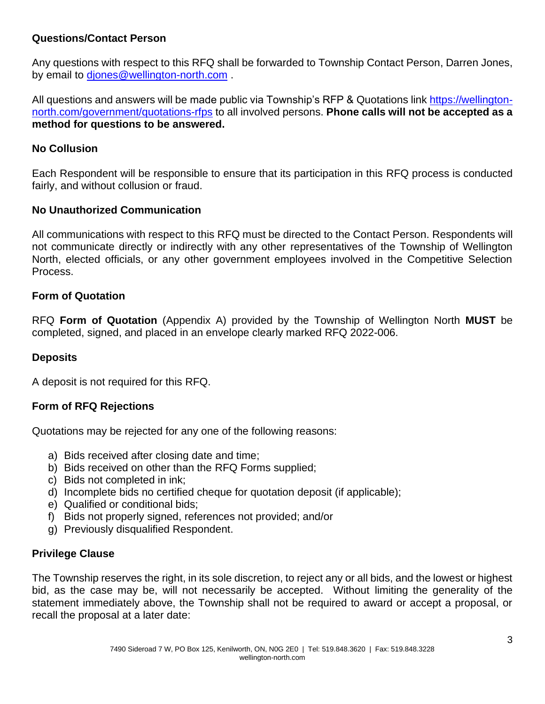#### **Questions/Contact Person**

Any questions with respect to this RFQ shall be forwarded to Township Contact Person, Darren Jones, by email to [djones@wellington-north.com](mailto:bcorley@wellington-north.com) .

All questions and answers will be made public via Township's RFP & Quotations link [https://wellington](https://wellington-north.com/government/tenders-rfps)[north.com/government/quotations-rfps](https://wellington-north.com/government/tenders-rfps) to all involved persons. **Phone calls will not be accepted as a method for questions to be answered.**

#### **No Collusion**

Each Respondent will be responsible to ensure that its participation in this RFQ process is conducted fairly, and without collusion or fraud.

#### **No Unauthorized Communication**

All communications with respect to this RFQ must be directed to the Contact Person. Respondents will not communicate directly or indirectly with any other representatives of the Township of Wellington North, elected officials, or any other government employees involved in the Competitive Selection Process.

#### **Form of Quotation**

RFQ **Form of Quotation** (Appendix A) provided by the Township of Wellington North **MUST** be completed, signed, and placed in an envelope clearly marked RFQ 2022-006.

#### **Deposits**

A deposit is not required for this RFQ.

#### **Form of RFQ Rejections**

Quotations may be rejected for any one of the following reasons:

- a) Bids received after closing date and time;
- b) Bids received on other than the RFQ Forms supplied;
- c) Bids not completed in ink;
- d) Incomplete bids no certified cheque for quotation deposit (if applicable);
- e) Qualified or conditional bids;
- f) Bids not properly signed, references not provided; and/or
- g) Previously disqualified Respondent.

#### **Privilege Clause**

The Township reserves the right, in its sole discretion, to reject any or all bids, and the lowest or highest bid, as the case may be, will not necessarily be accepted. Without limiting the generality of the statement immediately above, the Township shall not be required to award or accept a proposal, or recall the proposal at a later date: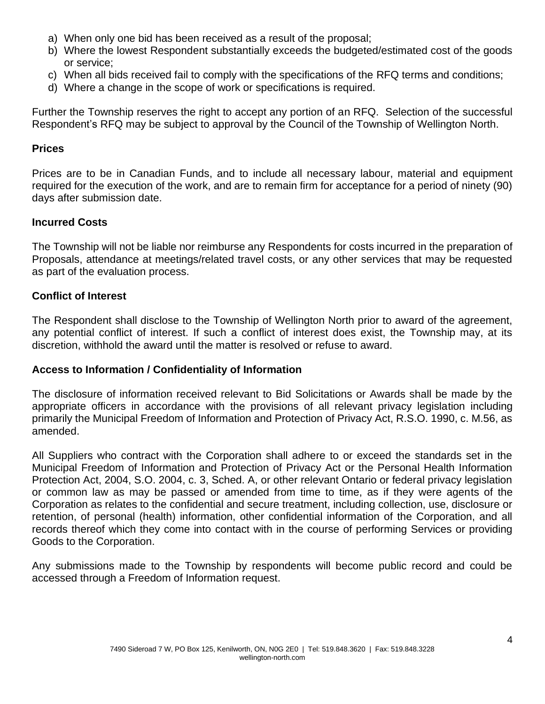- a) When only one bid has been received as a result of the proposal;
- b) Where the lowest Respondent substantially exceeds the budgeted/estimated cost of the goods or service;
- c) When all bids received fail to comply with the specifications of the RFQ terms and conditions;
- d) Where a change in the scope of work or specifications is required.

Further the Township reserves the right to accept any portion of an RFQ. Selection of the successful Respondent's RFQ may be subject to approval by the Council of the Township of Wellington North.

#### **Prices**

Prices are to be in Canadian Funds, and to include all necessary labour, material and equipment required for the execution of the work, and are to remain firm for acceptance for a period of ninety (90) days after submission date.

#### **Incurred Costs**

The Township will not be liable nor reimburse any Respondents for costs incurred in the preparation of Proposals, attendance at meetings/related travel costs, or any other services that may be requested as part of the evaluation process.

#### **Conflict of Interest**

The Respondent shall disclose to the Township of Wellington North prior to award of the agreement, any potential conflict of interest. If such a conflict of interest does exist, the Township may, at its discretion, withhold the award until the matter is resolved or refuse to award.

#### **Access to Information / Confidentiality of Information**

The disclosure of information received relevant to Bid Solicitations or Awards shall be made by the appropriate officers in accordance with the provisions of all relevant privacy legislation including primarily the Municipal Freedom of Information and Protection of Privacy Act, R.S.O. 1990, c. M.56, as amended.

All Suppliers who contract with the Corporation shall adhere to or exceed the standards set in the Municipal Freedom of Information and Protection of Privacy Act or the Personal Health Information Protection Act, 2004, S.O. 2004, c. 3, Sched. A, or other relevant Ontario or federal privacy legislation or common law as may be passed or amended from time to time, as if they were agents of the Corporation as relates to the confidential and secure treatment, including collection, use, disclosure or retention, of personal (health) information, other confidential information of the Corporation, and all records thereof which they come into contact with in the course of performing Services or providing Goods to the Corporation.

Any submissions made to the Township by respondents will become public record and could be accessed through a Freedom of Information request.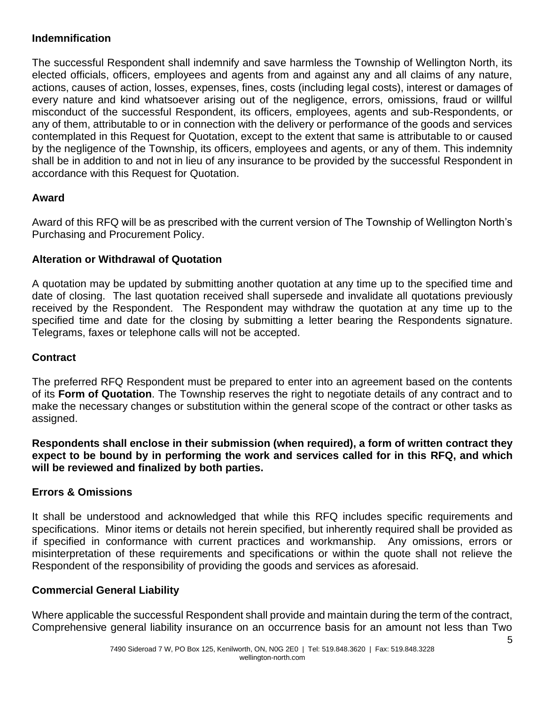#### **Indemnification**

The successful Respondent shall indemnify and save harmless the Township of Wellington North, its elected officials, officers, employees and agents from and against any and all claims of any nature, actions, causes of action, losses, expenses, fines, costs (including legal costs), interest or damages of every nature and kind whatsoever arising out of the negligence, errors, omissions, fraud or willful misconduct of the successful Respondent, its officers, employees, agents and sub-Respondents, or any of them, attributable to or in connection with the delivery or performance of the goods and services contemplated in this Request for Quotation, except to the extent that same is attributable to or caused by the negligence of the Township, its officers, employees and agents, or any of them. This indemnity shall be in addition to and not in lieu of any insurance to be provided by the successful Respondent in accordance with this Request for Quotation.

#### **Award**

Award of this RFQ will be as prescribed with the current version of The Township of Wellington North's Purchasing and Procurement Policy.

#### **Alteration or Withdrawal of Quotation**

A quotation may be updated by submitting another quotation at any time up to the specified time and date of closing. The last quotation received shall supersede and invalidate all quotations previously received by the Respondent. The Respondent may withdraw the quotation at any time up to the specified time and date for the closing by submitting a letter bearing the Respondents signature. Telegrams, faxes or telephone calls will not be accepted.

#### **Contract**

The preferred RFQ Respondent must be prepared to enter into an agreement based on the contents of its **Form of Quotation**. The Township reserves the right to negotiate details of any contract and to make the necessary changes or substitution within the general scope of the contract or other tasks as assigned.

**Respondents shall enclose in their submission (when required), a form of written contract they expect to be bound by in performing the work and services called for in this RFQ, and which will be reviewed and finalized by both parties.**

#### **Errors & Omissions**

It shall be understood and acknowledged that while this RFQ includes specific requirements and specifications. Minor items or details not herein specified, but inherently required shall be provided as if specified in conformance with current practices and workmanship. Any omissions, errors or misinterpretation of these requirements and specifications or within the quote shall not relieve the Respondent of the responsibility of providing the goods and services as aforesaid.

#### **Commercial General Liability**

Where applicable the successful Respondent shall provide and maintain during the term of the contract, Comprehensive general liability insurance on an occurrence basis for an amount not less than Two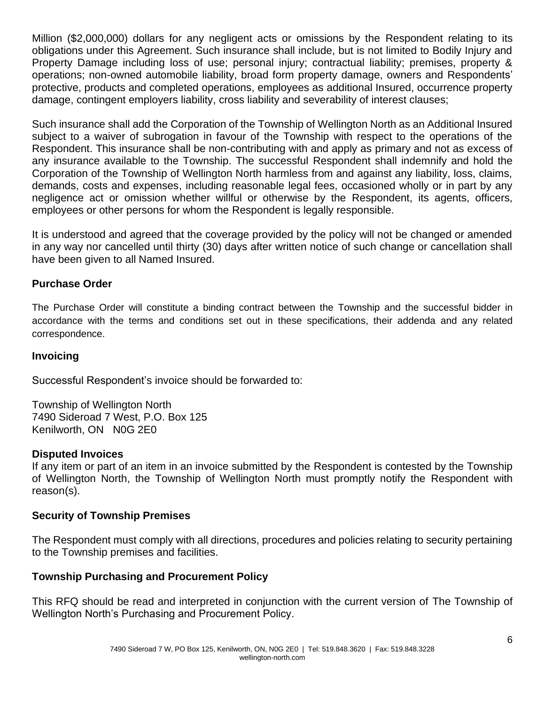Million (\$2,000,000) dollars for any negligent acts or omissions by the Respondent relating to its obligations under this Agreement. Such insurance shall include, but is not limited to Bodily Injury and Property Damage including loss of use; personal injury; contractual liability; premises, property & operations; non-owned automobile liability, broad form property damage, owners and Respondents' protective, products and completed operations, employees as additional Insured, occurrence property damage, contingent employers liability, cross liability and severability of interest clauses;

Such insurance shall add the Corporation of the Township of Wellington North as an Additional Insured subject to a waiver of subrogation in favour of the Township with respect to the operations of the Respondent. This insurance shall be non-contributing with and apply as primary and not as excess of any insurance available to the Township. The successful Respondent shall indemnify and hold the Corporation of the Township of Wellington North harmless from and against any liability, loss, claims, demands, costs and expenses, including reasonable legal fees, occasioned wholly or in part by any negligence act or omission whether willful or otherwise by the Respondent, its agents, officers, employees or other persons for whom the Respondent is legally responsible.

It is understood and agreed that the coverage provided by the policy will not be changed or amended in any way nor cancelled until thirty (30) days after written notice of such change or cancellation shall have been given to all Named Insured.

#### **Purchase Order**

The Purchase Order will constitute a binding contract between the Township and the successful bidder in accordance with the terms and conditions set out in these specifications, their addenda and any related correspondence.

#### **Invoicing**

Successful Respondent's invoice should be forwarded to:

Township of Wellington North 7490 Sideroad 7 West, P.O. Box 125 Kenilworth, ON N0G 2E0

#### **Disputed Invoices**

If any item or part of an item in an invoice submitted by the Respondent is contested by the Township of Wellington North, the Township of Wellington North must promptly notify the Respondent with reason(s).

#### **Security of Township Premises**

The Respondent must comply with all directions, procedures and policies relating to security pertaining to the Township premises and facilities.

#### **Township Purchasing and Procurement Policy**

This RFQ should be read and interpreted in conjunction with the current version of The Township of Wellington North's Purchasing and Procurement Policy.